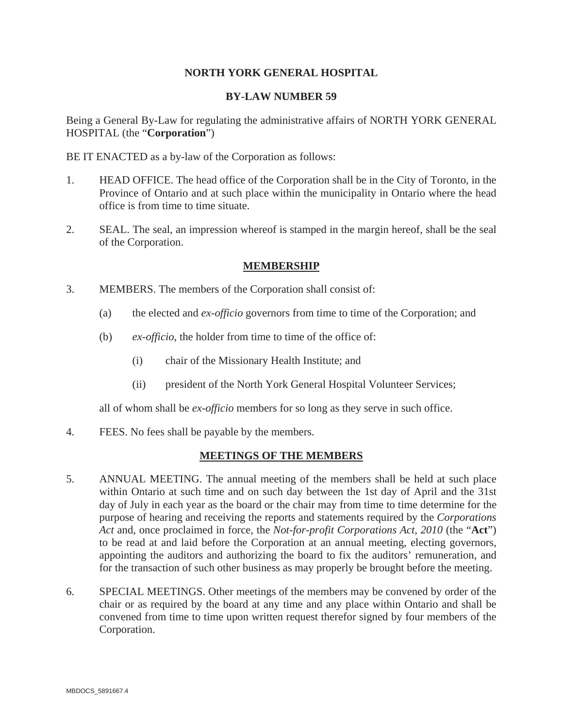# **NORTH YORK GENERAL HOSPITAL**

## **BY-LAW NUMBER 59**

Being a General By-Law for regulating the administrative affairs of NORTH YORK GENERAL HOSPITAL (the "**Corporation**")

BE IT ENACTED as a by-law of the Corporation as follows:

- 1. HEAD OFFICE. The head office of the Corporation shall be in the City of Toronto, in the Province of Ontario and at such place within the municipality in Ontario where the head office is from time to time situate.
- 2. SEAL. The seal, an impression whereof is stamped in the margin hereof, shall be the seal of the Corporation.

## **MEMBERSHIP**

- 3. MEMBERS. The members of the Corporation shall consist of:
	- (a) the elected and *ex-officio* governors from time to time of the Corporation; and
	- (b) *ex-officio*, the holder from time to time of the office of:
		- (i) chair of the Missionary Health Institute; and
		- (ii) president of the North York General Hospital Volunteer Services;

all of whom shall be *ex-officio* members for so long as they serve in such office.

4. FEES. No fees shall be payable by the members.

#### **MEETINGS OF THE MEMBERS**

- 5. ANNUAL MEETING. The annual meeting of the members shall be held at such place within Ontario at such time and on such day between the 1st day of April and the 31st day of July in each year as the board or the chair may from time to time determine for the purpose of hearing and receiving the reports and statements required by the *Corporations Act* and, once proclaimed in force, the *Not-for-profit Corporations Act, 2010* (the "**Act**") to be read at and laid before the Corporation at an annual meeting, electing governors, appointing the auditors and authorizing the board to fix the auditors' remuneration, and for the transaction of such other business as may properly be brought before the meeting.
- 6. SPECIAL MEETINGS. Other meetings of the members may be convened by order of the chair or as required by the board at any time and any place within Ontario and shall be convened from time to time upon written request therefor signed by four members of the Corporation.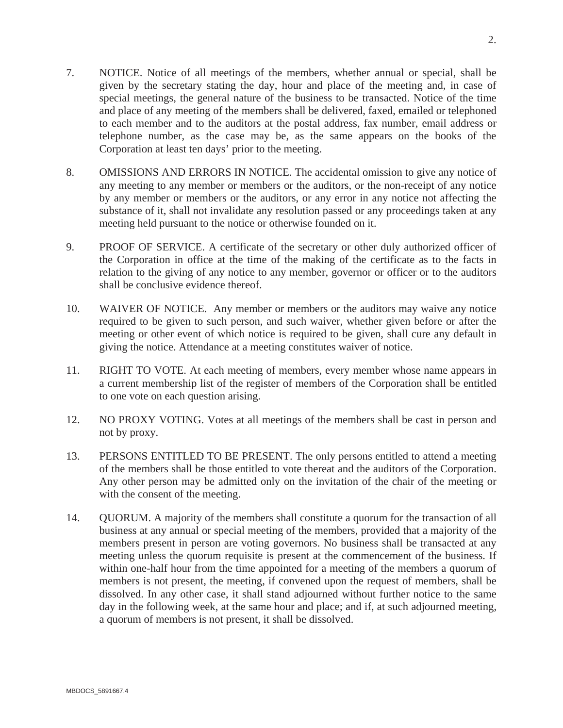- 7. NOTICE. Notice of all meetings of the members, whether annual or special, shall be given by the secretary stating the day, hour and place of the meeting and, in case of special meetings, the general nature of the business to be transacted. Notice of the time and place of any meeting of the members shall be delivered, faxed, emailed or telephoned to each member and to the auditors at the postal address, fax number, email address or telephone number, as the case may be, as the same appears on the books of the Corporation at least ten days' prior to the meeting.
- 8. OMISSIONS AND ERRORS IN NOTICE. The accidental omission to give any notice of any meeting to any member or members or the auditors, or the non-receipt of any notice by any member or members or the auditors, or any error in any notice not affecting the substance of it, shall not invalidate any resolution passed or any proceedings taken at any meeting held pursuant to the notice or otherwise founded on it.
- 9. PROOF OF SERVICE. A certificate of the secretary or other duly authorized officer of the Corporation in office at the time of the making of the certificate as to the facts in relation to the giving of any notice to any member, governor or officer or to the auditors shall be conclusive evidence thereof.
- 10. WAIVER OF NOTICE. Any member or members or the auditors may waive any notice required to be given to such person, and such waiver, whether given before or after the meeting or other event of which notice is required to be given, shall cure any default in giving the notice. Attendance at a meeting constitutes waiver of notice.
- 11. RIGHT TO VOTE. At each meeting of members, every member whose name appears in a current membership list of the register of members of the Corporation shall be entitled to one vote on each question arising.
- 12. NO PROXY VOTING. Votes at all meetings of the members shall be cast in person and not by proxy.
- 13. PERSONS ENTITLED TO BE PRESENT. The only persons entitled to attend a meeting of the members shall be those entitled to vote thereat and the auditors of the Corporation. Any other person may be admitted only on the invitation of the chair of the meeting or with the consent of the meeting.
- 14. QUORUM. A majority of the members shall constitute a quorum for the transaction of all business at any annual or special meeting of the members, provided that a majority of the members present in person are voting governors. No business shall be transacted at any meeting unless the quorum requisite is present at the commencement of the business. If within one-half hour from the time appointed for a meeting of the members a quorum of members is not present, the meeting, if convened upon the request of members, shall be dissolved. In any other case, it shall stand adjourned without further notice to the same day in the following week, at the same hour and place; and if, at such adjourned meeting, a quorum of members is not present, it shall be dissolved.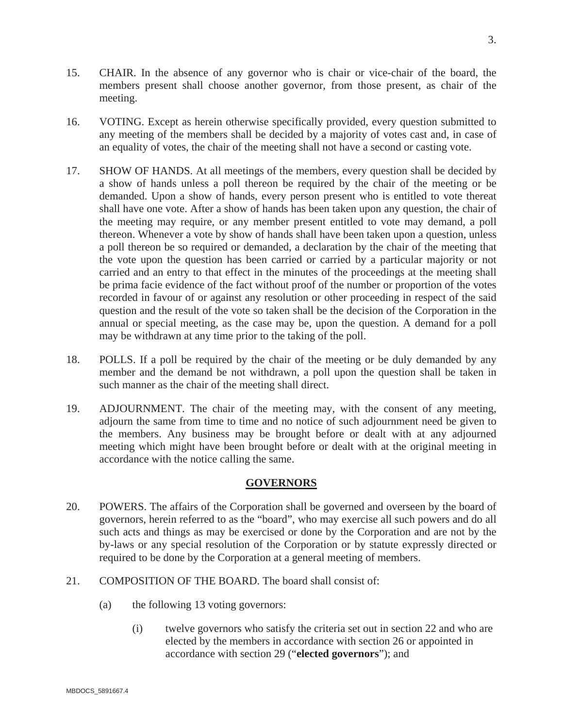- 15. CHAIR. In the absence of any governor who is chair or vice-chair of the board, the members present shall choose another governor, from those present, as chair of the meeting.
- 16. VOTING. Except as herein otherwise specifically provided, every question submitted to any meeting of the members shall be decided by a majority of votes cast and, in case of an equality of votes, the chair of the meeting shall not have a second or casting vote.
- 17. SHOW OF HANDS. At all meetings of the members, every question shall be decided by a show of hands unless a poll thereon be required by the chair of the meeting or be demanded. Upon a show of hands, every person present who is entitled to vote thereat shall have one vote. After a show of hands has been taken upon any question, the chair of the meeting may require, or any member present entitled to vote may demand, a poll thereon. Whenever a vote by show of hands shall have been taken upon a question, unless a poll thereon be so required or demanded, a declaration by the chair of the meeting that the vote upon the question has been carried or carried by a particular majority or not carried and an entry to that effect in the minutes of the proceedings at the meeting shall be prima facie evidence of the fact without proof of the number or proportion of the votes recorded in favour of or against any resolution or other proceeding in respect of the said question and the result of the vote so taken shall be the decision of the Corporation in the annual or special meeting, as the case may be, upon the question. A demand for a poll may be withdrawn at any time prior to the taking of the poll.
- 18. POLLS. If a poll be required by the chair of the meeting or be duly demanded by any member and the demand be not withdrawn, a poll upon the question shall be taken in such manner as the chair of the meeting shall direct.
- 19. ADJOURNMENT. The chair of the meeting may, with the consent of any meeting, adjourn the same from time to time and no notice of such adjournment need be given to the members. Any business may be brought before or dealt with at any adjourned meeting which might have been brought before or dealt with at the original meeting in accordance with the notice calling the same.

## **GOVERNORS**

- 20. POWERS. The affairs of the Corporation shall be governed and overseen by the board of governors, herein referred to as the "board", who may exercise all such powers and do all such acts and things as may be exercised or done by the Corporation and are not by the by-laws or any special resolution of the Corporation or by statute expressly directed or required to be done by the Corporation at a general meeting of members.
- 21. COMPOSITION OF THE BOARD. The board shall consist of:
	- (a) the following 13 voting governors:
		- (i) twelve governors who satisfy the criteria set out in section 22 and who are elected by the members in accordance with section 26 or appointed in accordance with section 29 ("**elected governors**"); and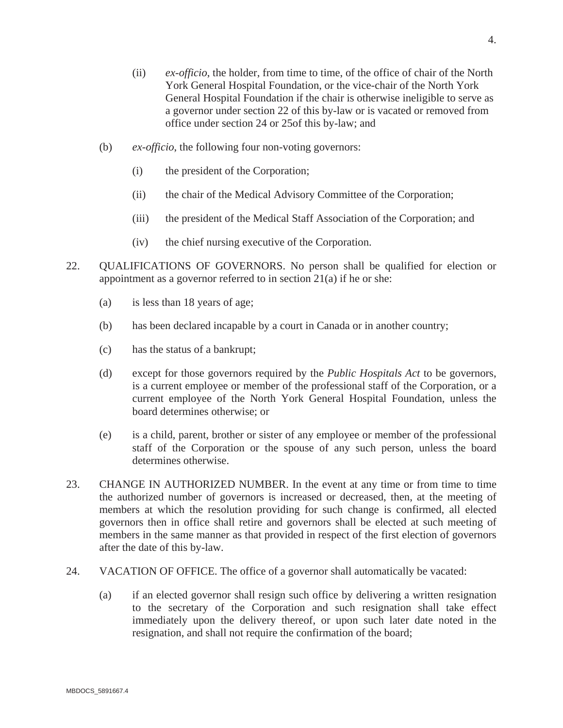- (ii) *ex-officio*, the holder, from time to time, of the office of chair of the North York General Hospital Foundation, or the vice-chair of the North York General Hospital Foundation if the chair is otherwise ineligible to serve as a governor under section 22 of this by-law or is vacated or removed from office under section 24 or 25of this by-law; and
- (b) *ex-officio*, the following four non-voting governors:
	- (i) the president of the Corporation;
	- (ii) the chair of the Medical Advisory Committee of the Corporation;
	- (iii) the president of the Medical Staff Association of the Corporation; and
	- (iv) the chief nursing executive of the Corporation.
- 22. QUALIFICATIONS OF GOVERNORS. No person shall be qualified for election or appointment as a governor referred to in section 21(a) if he or she:
	- (a) is less than 18 years of age;
	- (b) has been declared incapable by a court in Canada or in another country;
	- (c) has the status of a bankrupt;
	- (d) except for those governors required by the *Public Hospitals Act* to be governors, is a current employee or member of the professional staff of the Corporation, or a current employee of the North York General Hospital Foundation, unless the board determines otherwise; or
	- (e) is a child, parent, brother or sister of any employee or member of the professional staff of the Corporation or the spouse of any such person, unless the board determines otherwise.
- 23. CHANGE IN AUTHORIZED NUMBER. In the event at any time or from time to time the authorized number of governors is increased or decreased, then, at the meeting of members at which the resolution providing for such change is confirmed, all elected governors then in office shall retire and governors shall be elected at such meeting of members in the same manner as that provided in respect of the first election of governors after the date of this by-law.
- 24. VACATION OF OFFICE. The office of a governor shall automatically be vacated:
	- (a) if an elected governor shall resign such office by delivering a written resignation to the secretary of the Corporation and such resignation shall take effect immediately upon the delivery thereof, or upon such later date noted in the resignation, and shall not require the confirmation of the board;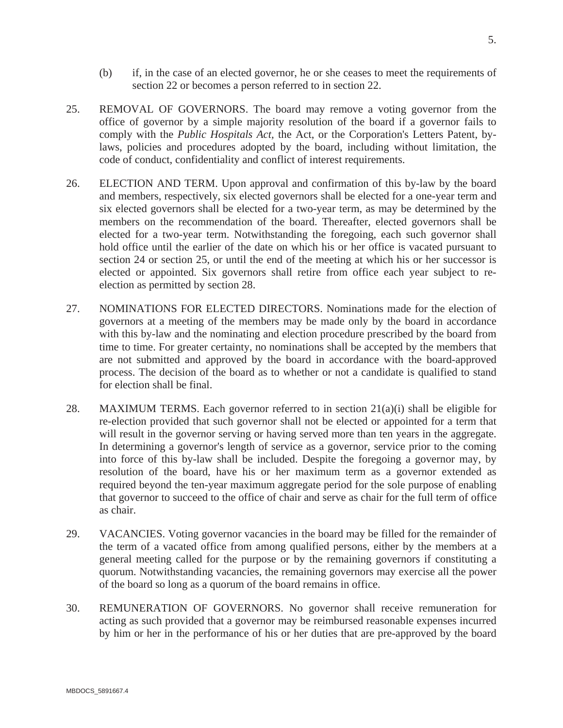- (b) if, in the case of an elected governor, he or she ceases to meet the requirements of section 22 or becomes a person referred to in section 22.
- 25. REMOVAL OF GOVERNORS. The board may remove a voting governor from the office of governor by a simple majority resolution of the board if a governor fails to comply with the *Public Hospitals Act,* the Act, or the Corporation's Letters Patent, bylaws, policies and procedures adopted by the board, including without limitation, the code of conduct, confidentiality and conflict of interest requirements.
- 26. ELECTION AND TERM. Upon approval and confirmation of this by-law by the board and members, respectively, six elected governors shall be elected for a one-year term and six elected governors shall be elected for a two-year term, as may be determined by the members on the recommendation of the board. Thereafter, elected governors shall be elected for a two-year term. Notwithstanding the foregoing, each such governor shall hold office until the earlier of the date on which his or her office is vacated pursuant to section 24 or section 25, or until the end of the meeting at which his or her successor is elected or appointed. Six governors shall retire from office each year subject to reelection as permitted by section 28.
- 27. NOMINATIONS FOR ELECTED DIRECTORS. Nominations made for the election of governors at a meeting of the members may be made only by the board in accordance with this by-law and the nominating and election procedure prescribed by the board from time to time. For greater certainty, no nominations shall be accepted by the members that are not submitted and approved by the board in accordance with the board-approved process. The decision of the board as to whether or not a candidate is qualified to stand for election shall be final.
- 28. MAXIMUM TERMS. Each governor referred to in section  $21(a)(i)$  shall be eligible for re-election provided that such governor shall not be elected or appointed for a term that will result in the governor serving or having served more than ten years in the aggregate. In determining a governor's length of service as a governor, service prior to the coming into force of this by-law shall be included. Despite the foregoing a governor may, by resolution of the board, have his or her maximum term as a governor extended as required beyond the ten-year maximum aggregate period for the sole purpose of enabling that governor to succeed to the office of chair and serve as chair for the full term of office as chair.
- 29. VACANCIES. Voting governor vacancies in the board may be filled for the remainder of the term of a vacated office from among qualified persons, either by the members at a general meeting called for the purpose or by the remaining governors if constituting a quorum. Notwithstanding vacancies, the remaining governors may exercise all the power of the board so long as a quorum of the board remains in office.
- 30. REMUNERATION OF GOVERNORS. No governor shall receive remuneration for acting as such provided that a governor may be reimbursed reasonable expenses incurred by him or her in the performance of his or her duties that are pre-approved by the board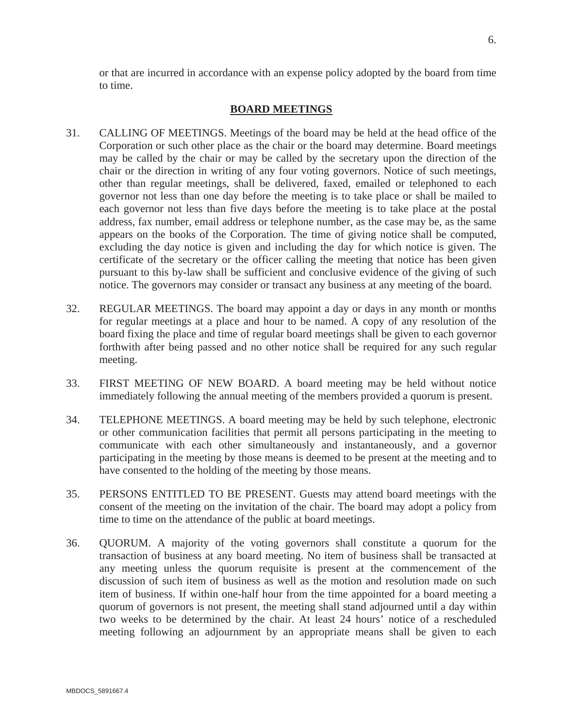# **BOARD MEETINGS**

- 31. CALLING OF MEETINGS. Meetings of the board may be held at the head office of the Corporation or such other place as the chair or the board may determine. Board meetings may be called by the chair or may be called by the secretary upon the direction of the chair or the direction in writing of any four voting governors. Notice of such meetings, other than regular meetings, shall be delivered, faxed, emailed or telephoned to each governor not less than one day before the meeting is to take place or shall be mailed to each governor not less than five days before the meeting is to take place at the postal address, fax number, email address or telephone number, as the case may be, as the same appears on the books of the Corporation. The time of giving notice shall be computed, excluding the day notice is given and including the day for which notice is given. The certificate of the secretary or the officer calling the meeting that notice has been given pursuant to this by-law shall be sufficient and conclusive evidence of the giving of such notice. The governors may consider or transact any business at any meeting of the board.
- 32. REGULAR MEETINGS. The board may appoint a day or days in any month or months for regular meetings at a place and hour to be named. A copy of any resolution of the board fixing the place and time of regular board meetings shall be given to each governor forthwith after being passed and no other notice shall be required for any such regular meeting.
- 33. FIRST MEETING OF NEW BOARD. A board meeting may be held without notice immediately following the annual meeting of the members provided a quorum is present.
- 34. TELEPHONE MEETINGS. A board meeting may be held by such telephone, electronic or other communication facilities that permit all persons participating in the meeting to communicate with each other simultaneously and instantaneously, and a governor participating in the meeting by those means is deemed to be present at the meeting and to have consented to the holding of the meeting by those means.
- 35. PERSONS ENTITLED TO BE PRESENT. Guests may attend board meetings with the consent of the meeting on the invitation of the chair. The board may adopt a policy from time to time on the attendance of the public at board meetings.
- 36. QUORUM. A majority of the voting governors shall constitute a quorum for the transaction of business at any board meeting. No item of business shall be transacted at any meeting unless the quorum requisite is present at the commencement of the discussion of such item of business as well as the motion and resolution made on such item of business. If within one-half hour from the time appointed for a board meeting a quorum of governors is not present, the meeting shall stand adjourned until a day within two weeks to be determined by the chair. At least 24 hours' notice of a rescheduled meeting following an adjournment by an appropriate means shall be given to each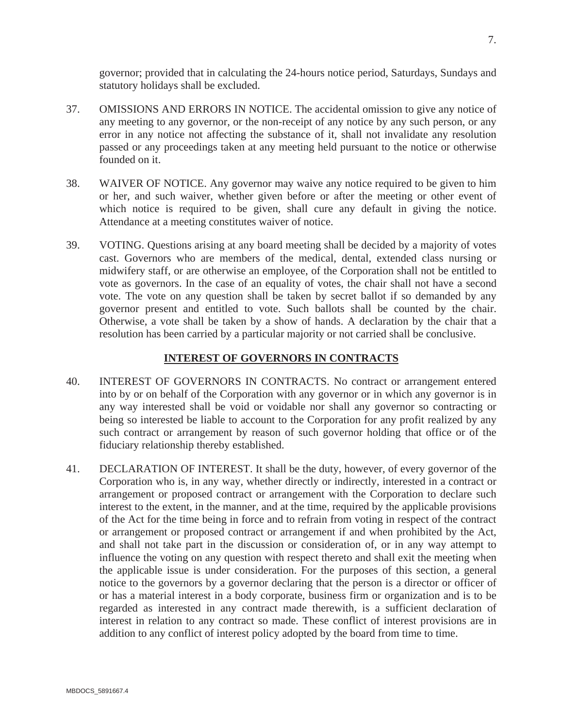governor; provided that in calculating the 24-hours notice period, Saturdays, Sundays and statutory holidays shall be excluded.

- 37. OMISSIONS AND ERRORS IN NOTICE. The accidental omission to give any notice of any meeting to any governor, or the non-receipt of any notice by any such person, or any error in any notice not affecting the substance of it, shall not invalidate any resolution passed or any proceedings taken at any meeting held pursuant to the notice or otherwise founded on it.
- 38. WAIVER OF NOTICE. Any governor may waive any notice required to be given to him or her, and such waiver, whether given before or after the meeting or other event of which notice is required to be given, shall cure any default in giving the notice. Attendance at a meeting constitutes waiver of notice.
- 39. VOTING. Questions arising at any board meeting shall be decided by a majority of votes cast. Governors who are members of the medical, dental, extended class nursing or midwifery staff, or are otherwise an employee, of the Corporation shall not be entitled to vote as governors. In the case of an equality of votes, the chair shall not have a second vote. The vote on any question shall be taken by secret ballot if so demanded by any governor present and entitled to vote. Such ballots shall be counted by the chair. Otherwise, a vote shall be taken by a show of hands. A declaration by the chair that a resolution has been carried by a particular majority or not carried shall be conclusive.

#### **INTEREST OF GOVERNORS IN CONTRACTS**

- 40. INTEREST OF GOVERNORS IN CONTRACTS. No contract or arrangement entered into by or on behalf of the Corporation with any governor or in which any governor is in any way interested shall be void or voidable nor shall any governor so contracting or being so interested be liable to account to the Corporation for any profit realized by any such contract or arrangement by reason of such governor holding that office or of the fiduciary relationship thereby established.
- 41. DECLARATION OF INTEREST. It shall be the duty, however, of every governor of the Corporation who is, in any way, whether directly or indirectly, interested in a contract or arrangement or proposed contract or arrangement with the Corporation to declare such interest to the extent, in the manner, and at the time, required by the applicable provisions of the Act for the time being in force and to refrain from voting in respect of the contract or arrangement or proposed contract or arrangement if and when prohibited by the Act, and shall not take part in the discussion or consideration of, or in any way attempt to influence the voting on any question with respect thereto and shall exit the meeting when the applicable issue is under consideration. For the purposes of this section, a general notice to the governors by a governor declaring that the person is a director or officer of or has a material interest in a body corporate, business firm or organization and is to be regarded as interested in any contract made therewith, is a sufficient declaration of interest in relation to any contract so made. These conflict of interest provisions are in addition to any conflict of interest policy adopted by the board from time to time.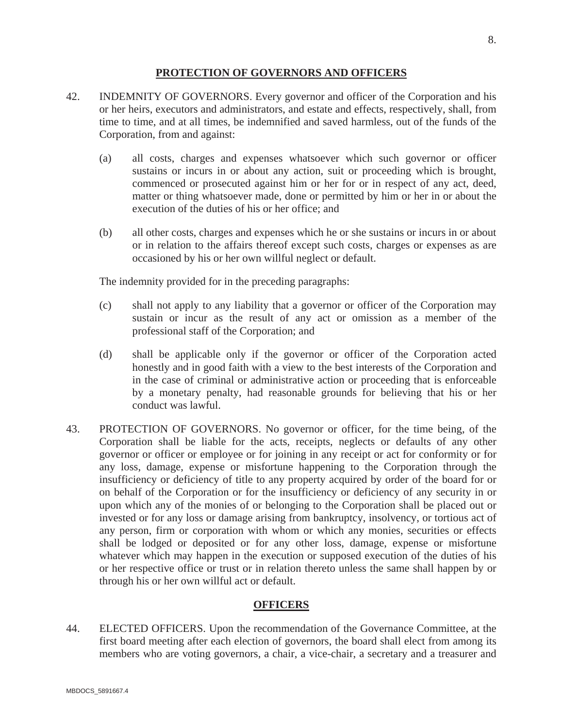#### **PROTECTION OF GOVERNORS AND OFFICERS**

- 42. INDEMNITY OF GOVERNORS. Every governor and officer of the Corporation and his or her heirs, executors and administrators, and estate and effects, respectively, shall, from time to time, and at all times, be indemnified and saved harmless, out of the funds of the Corporation, from and against:
	- (a) all costs, charges and expenses whatsoever which such governor or officer sustains or incurs in or about any action, suit or proceeding which is brought, commenced or prosecuted against him or her for or in respect of any act, deed, matter or thing whatsoever made, done or permitted by him or her in or about the execution of the duties of his or her office; and
	- (b) all other costs, charges and expenses which he or she sustains or incurs in or about or in relation to the affairs thereof except such costs, charges or expenses as are occasioned by his or her own willful neglect or default.

The indemnity provided for in the preceding paragraphs:

- (c) shall not apply to any liability that a governor or officer of the Corporation may sustain or incur as the result of any act or omission as a member of the professional staff of the Corporation; and
- (d) shall be applicable only if the governor or officer of the Corporation acted honestly and in good faith with a view to the best interests of the Corporation and in the case of criminal or administrative action or proceeding that is enforceable by a monetary penalty, had reasonable grounds for believing that his or her conduct was lawful.
- 43. PROTECTION OF GOVERNORS. No governor or officer, for the time being, of the Corporation shall be liable for the acts, receipts, neglects or defaults of any other governor or officer or employee or for joining in any receipt or act for conformity or for any loss, damage, expense or misfortune happening to the Corporation through the insufficiency or deficiency of title to any property acquired by order of the board for or on behalf of the Corporation or for the insufficiency or deficiency of any security in or upon which any of the monies of or belonging to the Corporation shall be placed out or invested or for any loss or damage arising from bankruptcy, insolvency, or tortious act of any person, firm or corporation with whom or which any monies, securities or effects shall be lodged or deposited or for any other loss, damage, expense or misfortune whatever which may happen in the execution or supposed execution of the duties of his or her respective office or trust or in relation thereto unless the same shall happen by or through his or her own willful act or default.

## **OFFICERS**

44. ELECTED OFFICERS. Upon the recommendation of the Governance Committee, at the first board meeting after each election of governors, the board shall elect from among its members who are voting governors, a chair, a vice-chair, a secretary and a treasurer and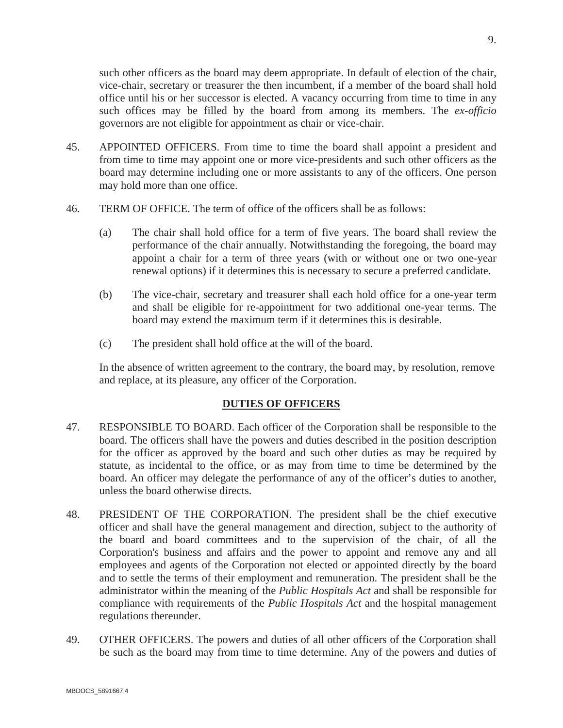such other officers as the board may deem appropriate. In default of election of the chair, vice-chair, secretary or treasurer the then incumbent, if a member of the board shall hold office until his or her successor is elected. A vacancy occurring from time to time in any such offices may be filled by the board from among its members. The *ex-officio* governors are not eligible for appointment as chair or vice-chair.

- 45. APPOINTED OFFICERS. From time to time the board shall appoint a president and from time to time may appoint one or more vice-presidents and such other officers as the board may determine including one or more assistants to any of the officers. One person may hold more than one office.
- 46. TERM OF OFFICE. The term of office of the officers shall be as follows:
	- (a) The chair shall hold office for a term of five years. The board shall review the performance of the chair annually. Notwithstanding the foregoing, the board may appoint a chair for a term of three years (with or without one or two one-year renewal options) if it determines this is necessary to secure a preferred candidate.
	- (b) The vice-chair, secretary and treasurer shall each hold office for a one-year term and shall be eligible for re-appointment for two additional one-year terms. The board may extend the maximum term if it determines this is desirable.
	- (c) The president shall hold office at the will of the board.

In the absence of written agreement to the contrary, the board may, by resolution, remove and replace, at its pleasure, any officer of the Corporation.

## **DUTIES OF OFFICERS**

- 47. RESPONSIBLE TO BOARD. Each officer of the Corporation shall be responsible to the board. The officers shall have the powers and duties described in the position description for the officer as approved by the board and such other duties as may be required by statute, as incidental to the office, or as may from time to time be determined by the board. An officer may delegate the performance of any of the officer's duties to another, unless the board otherwise directs.
- 48. PRESIDENT OF THE CORPORATION. The president shall be the chief executive officer and shall have the general management and direction, subject to the authority of the board and board committees and to the supervision of the chair, of all the Corporation's business and affairs and the power to appoint and remove any and all employees and agents of the Corporation not elected or appointed directly by the board and to settle the terms of their employment and remuneration. The president shall be the administrator within the meaning of the *Public Hospitals Act* and shall be responsible for compliance with requirements of the *Public Hospitals Act* and the hospital management regulations thereunder.
- 49. OTHER OFFICERS. The powers and duties of all other officers of the Corporation shall be such as the board may from time to time determine. Any of the powers and duties of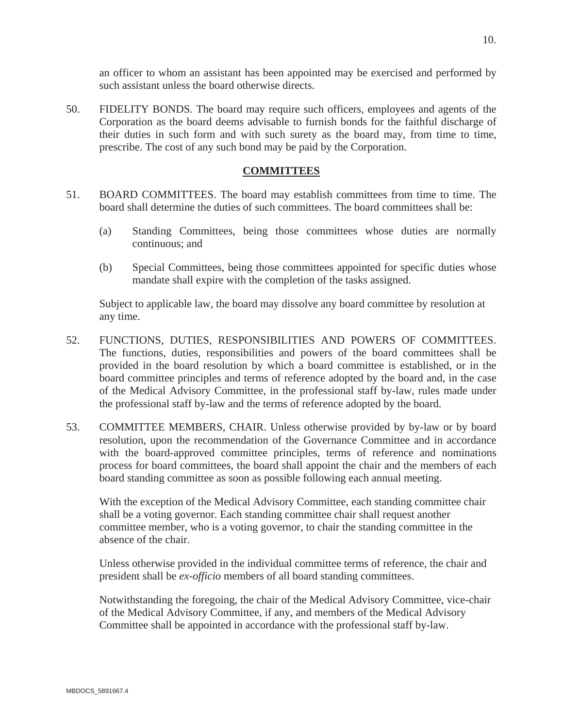an officer to whom an assistant has been appointed may be exercised and performed by such assistant unless the board otherwise directs.

50. FIDELITY BONDS. The board may require such officers, employees and agents of the Corporation as the board deems advisable to furnish bonds for the faithful discharge of their duties in such form and with such surety as the board may, from time to time, prescribe. The cost of any such bond may be paid by the Corporation.

## **COMMITTEES**

- 51. BOARD COMMITTEES. The board may establish committees from time to time. The board shall determine the duties of such committees. The board committees shall be:
	- (a) Standing Committees, being those committees whose duties are normally continuous; and
	- (b) Special Committees, being those committees appointed for specific duties whose mandate shall expire with the completion of the tasks assigned.

Subject to applicable law, the board may dissolve any board committee by resolution at any time.

- 52. FUNCTIONS, DUTIES, RESPONSIBILITIES AND POWERS OF COMMITTEES. The functions, duties, responsibilities and powers of the board committees shall be provided in the board resolution by which a board committee is established, or in the board committee principles and terms of reference adopted by the board and, in the case of the Medical Advisory Committee, in the professional staff by-law, rules made under the professional staff by-law and the terms of reference adopted by the board.
- 53. COMMITTEE MEMBERS, CHAIR. Unless otherwise provided by by-law or by board resolution, upon the recommendation of the Governance Committee and in accordance with the board-approved committee principles, terms of reference and nominations process for board committees, the board shall appoint the chair and the members of each board standing committee as soon as possible following each annual meeting.

With the exception of the Medical Advisory Committee, each standing committee chair shall be a voting governor. Each standing committee chair shall request another committee member, who is a voting governor, to chair the standing committee in the absence of the chair.

Unless otherwise provided in the individual committee terms of reference, the chair and president shall be *ex-officio* members of all board standing committees.

Notwithstanding the foregoing, the chair of the Medical Advisory Committee, vice-chair of the Medical Advisory Committee, if any, and members of the Medical Advisory Committee shall be appointed in accordance with the professional staff by-law.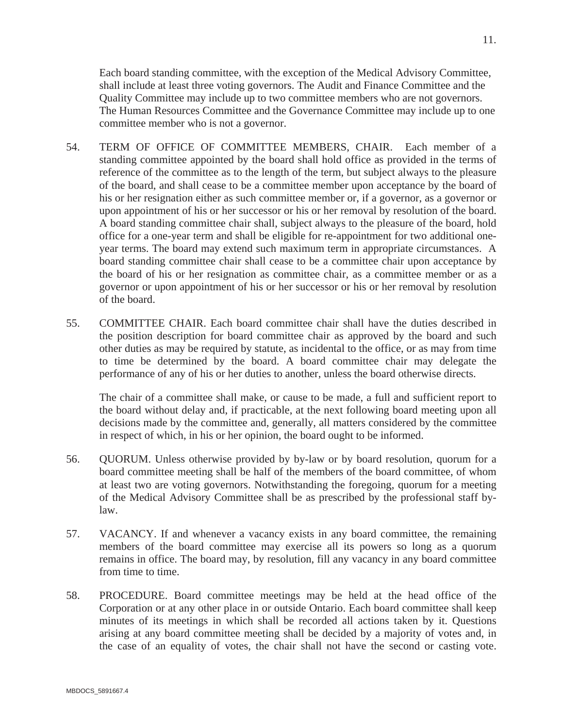Each board standing committee, with the exception of the Medical Advisory Committee, shall include at least three voting governors. The Audit and Finance Committee and the Quality Committee may include up to two committee members who are not governors. The Human Resources Committee and the Governance Committee may include up to one committee member who is not a governor.

- 54. TERM OF OFFICE OF COMMITTEE MEMBERS, CHAIR. Each member of a standing committee appointed by the board shall hold office as provided in the terms of reference of the committee as to the length of the term, but subject always to the pleasure of the board, and shall cease to be a committee member upon acceptance by the board of his or her resignation either as such committee member or, if a governor, as a governor or upon appointment of his or her successor or his or her removal by resolution of the board. A board standing committee chair shall, subject always to the pleasure of the board, hold office for a one-year term and shall be eligible for re-appointment for two additional oneyear terms. The board may extend such maximum term in appropriate circumstances. A board standing committee chair shall cease to be a committee chair upon acceptance by the board of his or her resignation as committee chair, as a committee member or as a governor or upon appointment of his or her successor or his or her removal by resolution of the board.
- 55. COMMITTEE CHAIR. Each board committee chair shall have the duties described in the position description for board committee chair as approved by the board and such other duties as may be required by statute, as incidental to the office, or as may from time to time be determined by the board. A board committee chair may delegate the performance of any of his or her duties to another, unless the board otherwise directs.

The chair of a committee shall make, or cause to be made, a full and sufficient report to the board without delay and, if practicable, at the next following board meeting upon all decisions made by the committee and, generally, all matters considered by the committee in respect of which, in his or her opinion, the board ought to be informed.

- 56. QUORUM. Unless otherwise provided by by-law or by board resolution, quorum for a board committee meeting shall be half of the members of the board committee, of whom at least two are voting governors. Notwithstanding the foregoing, quorum for a meeting of the Medical Advisory Committee shall be as prescribed by the professional staff bylaw.
- 57. VACANCY. If and whenever a vacancy exists in any board committee, the remaining members of the board committee may exercise all its powers so long as a quorum remains in office. The board may, by resolution, fill any vacancy in any board committee from time to time.
- 58. PROCEDURE. Board committee meetings may be held at the head office of the Corporation or at any other place in or outside Ontario. Each board committee shall keep minutes of its meetings in which shall be recorded all actions taken by it. Questions arising at any board committee meeting shall be decided by a majority of votes and, in the case of an equality of votes, the chair shall not have the second or casting vote.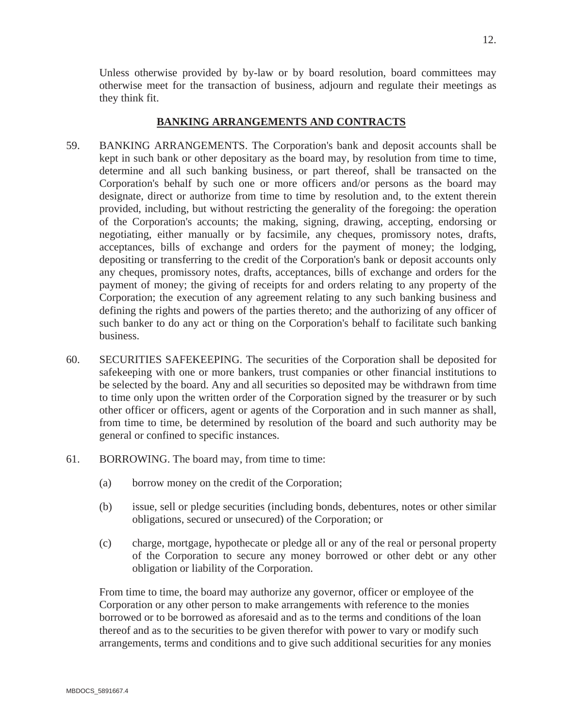Unless otherwise provided by by-law or by board resolution, board committees may otherwise meet for the transaction of business, adjourn and regulate their meetings as they think fit.

# **BANKING ARRANGEMENTS AND CONTRACTS**

- 59. BANKING ARRANGEMENTS. The Corporation's bank and deposit accounts shall be kept in such bank or other depositary as the board may, by resolution from time to time, determine and all such banking business, or part thereof, shall be transacted on the Corporation's behalf by such one or more officers and/or persons as the board may designate, direct or authorize from time to time by resolution and, to the extent therein provided, including, but without restricting the generality of the foregoing: the operation of the Corporation's accounts; the making, signing, drawing, accepting, endorsing or negotiating, either manually or by facsimile, any cheques, promissory notes, drafts, acceptances, bills of exchange and orders for the payment of money; the lodging, depositing or transferring to the credit of the Corporation's bank or deposit accounts only any cheques, promissory notes, drafts, acceptances, bills of exchange and orders for the payment of money; the giving of receipts for and orders relating to any property of the Corporation; the execution of any agreement relating to any such banking business and defining the rights and powers of the parties thereto; and the authorizing of any officer of such banker to do any act or thing on the Corporation's behalf to facilitate such banking business.
- 60. SECURITIES SAFEKEEPING. The securities of the Corporation shall be deposited for safekeeping with one or more bankers, trust companies or other financial institutions to be selected by the board. Any and all securities so deposited may be withdrawn from time to time only upon the written order of the Corporation signed by the treasurer or by such other officer or officers, agent or agents of the Corporation and in such manner as shall, from time to time, be determined by resolution of the board and such authority may be general or confined to specific instances.
- 61. BORROWING. The board may, from time to time:
	- (a) borrow money on the credit of the Corporation;
	- (b) issue, sell or pledge securities (including bonds, debentures, notes or other similar obligations, secured or unsecured) of the Corporation; or
	- (c) charge, mortgage, hypothecate or pledge all or any of the real or personal property of the Corporation to secure any money borrowed or other debt or any other obligation or liability of the Corporation.

From time to time, the board may authorize any governor, officer or employee of the Corporation or any other person to make arrangements with reference to the monies borrowed or to be borrowed as aforesaid and as to the terms and conditions of the loan thereof and as to the securities to be given therefor with power to vary or modify such arrangements, terms and conditions and to give such additional securities for any monies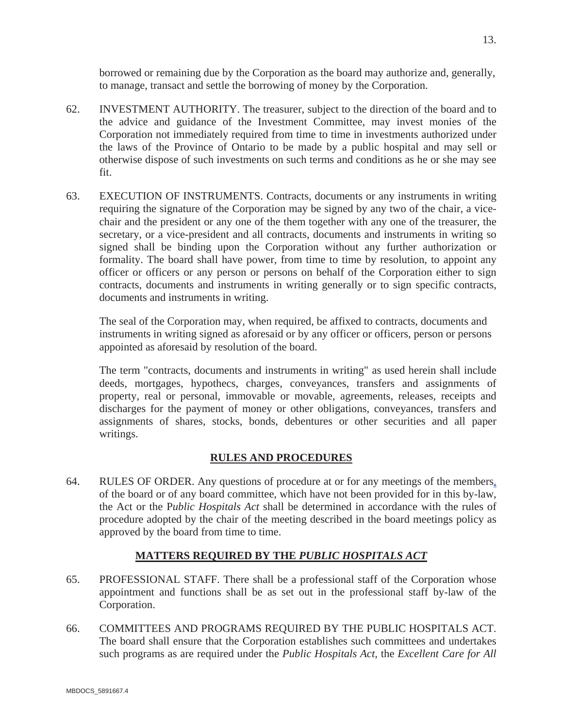borrowed or remaining due by the Corporation as the board may authorize and, generally, to manage, transact and settle the borrowing of money by the Corporation.

- 62. INVESTMENT AUTHORITY. The treasurer, subject to the direction of the board and to the advice and guidance of the Investment Committee, may invest monies of the Corporation not immediately required from time to time in investments authorized under the laws of the Province of Ontario to be made by a public hospital and may sell or otherwise dispose of such investments on such terms and conditions as he or she may see fit.
- 63. EXECUTION OF INSTRUMENTS. Contracts, documents or any instruments in writing requiring the signature of the Corporation may be signed by any two of the chair, a vicechair and the president or any one of the them together with any one of the treasurer, the secretary, or a vice-president and all contracts, documents and instruments in writing so signed shall be binding upon the Corporation without any further authorization or formality. The board shall have power, from time to time by resolution, to appoint any officer or officers or any person or persons on behalf of the Corporation either to sign contracts, documents and instruments in writing generally or to sign specific contracts, documents and instruments in writing.

The seal of the Corporation may, when required, be affixed to contracts, documents and instruments in writing signed as aforesaid or by any officer or officers, person or persons appointed as aforesaid by resolution of the board.

The term "contracts, documents and instruments in writing" as used herein shall include deeds, mortgages, hypothecs, charges, conveyances, transfers and assignments of property, real or personal, immovable or movable, agreements, releases, receipts and discharges for the payment of money or other obligations, conveyances, transfers and assignments of shares, stocks, bonds, debentures or other securities and all paper writings.

# **RULES AND PROCEDURES**

64. RULES OF ORDER. Any questions of procedure at or for any meetings of the members, of the board or of any board committee, which have not been provided for in this by-law, the Act or the P*ublic Hospitals Act* shall be determined in accordance with the rules of procedure adopted by the chair of the meeting described in the board meetings policy as approved by the board from time to time.

# **MATTERS REQUIRED BY THE** *PUBLIC HOSPITALS ACT*

- 65. PROFESSIONAL STAFF. There shall be a professional staff of the Corporation whose appointment and functions shall be as set out in the professional staff by-law of the Corporation.
- 66. COMMITTEES AND PROGRAMS REQUIRED BY THE PUBLIC HOSPITALS ACT. The board shall ensure that the Corporation establishes such committees and undertakes such programs as are required under the *Public Hospitals Act,* the *Excellent Care for All*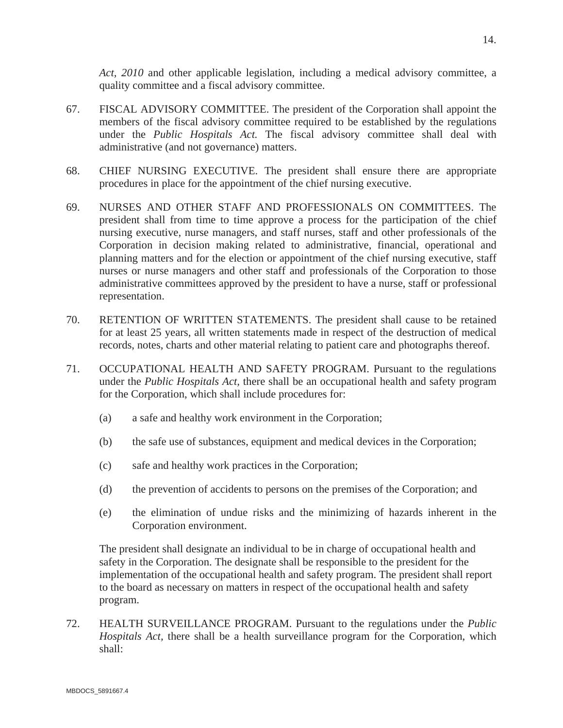*Act, 2010* and other applicable legislation*,* including a medical advisory committee, a quality committee and a fiscal advisory committee.

- 67. FISCAL ADVISORY COMMITTEE. The president of the Corporation shall appoint the members of the fiscal advisory committee required to be established by the regulations under the *Public Hospitals Act.* The fiscal advisory committee shall deal with administrative (and not governance) matters.
- 68. CHIEF NURSING EXECUTIVE. The president shall ensure there are appropriate procedures in place for the appointment of the chief nursing executive.
- 69. NURSES AND OTHER STAFF AND PROFESSIONALS ON COMMITTEES. The president shall from time to time approve a process for the participation of the chief nursing executive, nurse managers, and staff nurses, staff and other professionals of the Corporation in decision making related to administrative, financial, operational and planning matters and for the election or appointment of the chief nursing executive, staff nurses or nurse managers and other staff and professionals of the Corporation to those administrative committees approved by the president to have a nurse, staff or professional representation.
- 70. RETENTION OF WRITTEN STATEMENTS. The president shall cause to be retained for at least 25 years, all written statements made in respect of the destruction of medical records, notes, charts and other material relating to patient care and photographs thereof.
- 71. OCCUPATIONAL HEALTH AND SAFETY PROGRAM. Pursuant to the regulations under the *Public Hospitals Act,* there shall be an occupational health and safety program for the Corporation, which shall include procedures for:
	- (a) a safe and healthy work environment in the Corporation;
	- (b) the safe use of substances, equipment and medical devices in the Corporation;
	- (c) safe and healthy work practices in the Corporation;
	- (d) the prevention of accidents to persons on the premises of the Corporation; and
	- (e) the elimination of undue risks and the minimizing of hazards inherent in the Corporation environment.

The president shall designate an individual to be in charge of occupational health and safety in the Corporation. The designate shall be responsible to the president for the implementation of the occupational health and safety program. The president shall report to the board as necessary on matters in respect of the occupational health and safety program.

72. HEALTH SURVEILLANCE PROGRAM. Pursuant to the regulations under the *Public Hospitals Act,* there shall be a health surveillance program for the Corporation, which shall: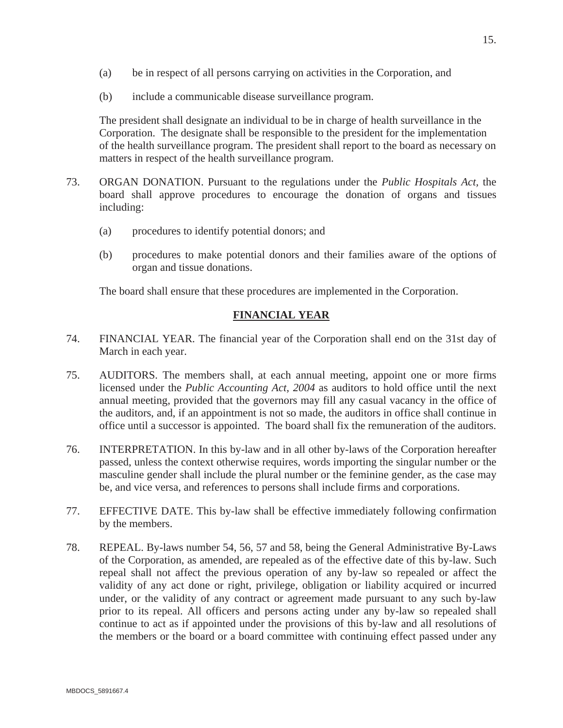- (a) be in respect of all persons carrying on activities in the Corporation, and
- (b) include a communicable disease surveillance program.

The president shall designate an individual to be in charge of health surveillance in the Corporation. The designate shall be responsible to the president for the implementation of the health surveillance program. The president shall report to the board as necessary on matters in respect of the health surveillance program.

- 73. ORGAN DONATION. Pursuant to the regulations under the *Public Hospitals Act,* the board shall approve procedures to encourage the donation of organs and tissues including:
	- (a) procedures to identify potential donors; and
	- (b) procedures to make potential donors and their families aware of the options of organ and tissue donations.

The board shall ensure that these procedures are implemented in the Corporation.

## **FINANCIAL YEAR**

- 74. FINANCIAL YEAR. The financial year of the Corporation shall end on the 31st day of March in each year.
- 75. AUDITORS. The members shall, at each annual meeting, appoint one or more firms licensed under the *Public Accounting Act, 2004* as auditors to hold office until the next annual meeting, provided that the governors may fill any casual vacancy in the office of the auditors, and, if an appointment is not so made, the auditors in office shall continue in office until a successor is appointed. The board shall fix the remuneration of the auditors.
- 76. INTERPRETATION. In this by-law and in all other by-laws of the Corporation hereafter passed, unless the context otherwise requires, words importing the singular number or the masculine gender shall include the plural number or the feminine gender, as the case may be, and vice versa, and references to persons shall include firms and corporations.
- 77. EFFECTIVE DATE. This by-law shall be effective immediately following confirmation by the members.
- 78. REPEAL. By-laws number 54, 56, 57 and 58, being the General Administrative By-Laws of the Corporation, as amended, are repealed as of the effective date of this by-law. Such repeal shall not affect the previous operation of any by-law so repealed or affect the validity of any act done or right, privilege, obligation or liability acquired or incurred under, or the validity of any contract or agreement made pursuant to any such by-law prior to its repeal. All officers and persons acting under any by-law so repealed shall continue to act as if appointed under the provisions of this by-law and all resolutions of the members or the board or a board committee with continuing effect passed under any